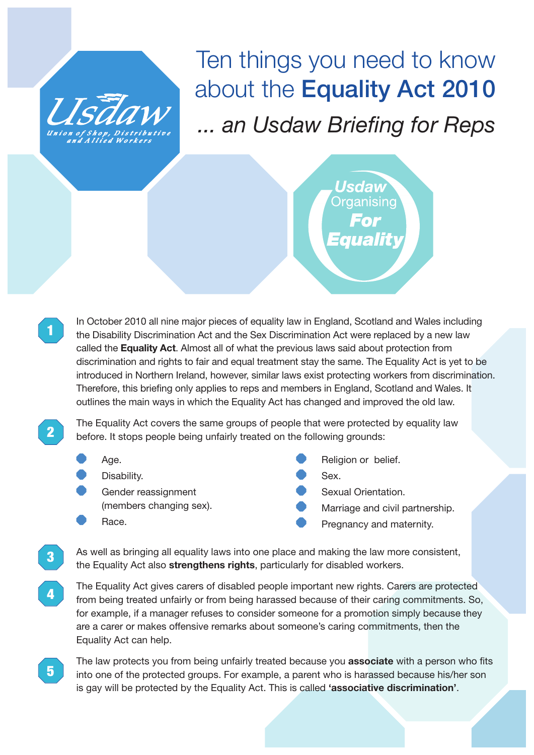

## Ten things you need to know about the Equality Act 2010 *... an Usdaw Briefing for Reps*

Usdaw Organisinc Equality

In October 2010 all nine major pieces of equality law in England, Scotland and Wales including the Disability Discrimination Act and the Sex Discrimination Act were replaced by a new law called the **Equality Act**. Almost all of what the previous laws said about protection from discrimination and rights to fair and equal treatment stay the same. The Equality Act is yet to be introduced in Northern Ireland, however, similar laws exist protecting workers from discrimination. Therefore, this briefing only applies to reps and members in England, Scotland and Wales. It outlines the main ways in which the Equality Act has changed and improved the old law.

**2**

**3**

**5**

**1**

The Equality Act covers the same groups of people that were protected by equality law before. It stops people being unfairly treated on the following grounds:

- Age.
- Disability.
- Gender reassignment (members changing sex).
	- Race.
- Religion or belief.
- Sex.
- Sexual Orientation.
- Marriage and civil partnership.
- Pregnancy and maternity.

As well as bringing all equality laws into one place and making the law more consistent, the Equality Act also **strengthens rights**, particularly for disabled workers.

The Equality Act gives carers of disabled people important new rights. Carers are protected from being treated unfairly or from being harassed because of their caring commitments. So, for example, if a manager refuses to consider someone for a promotion simply because they are a carer or makes offensive remarks about someone's caring commitments, then the Equality Act can help. **4**

The law protects you from being unfairly treated because you **associate** with a person who fits into one of the protected groups. For example, a parent who is harassed because his/her son is gay will be protected by the Equality Act. This is called **'associative discrimination'**.